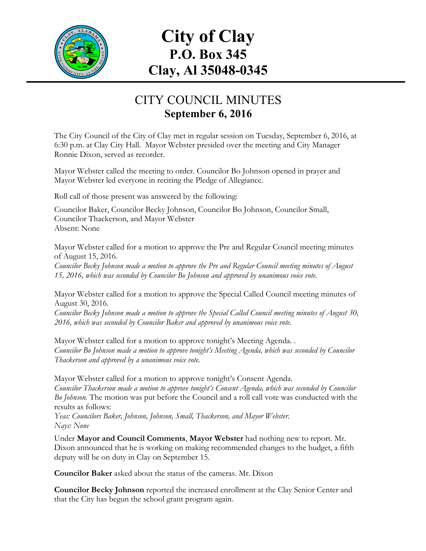

## **City of Clay P.O. Box 345 Clay, Al 35048-0345**

## CITY COUNCIL MINUTES **September 6, 2016**

The City Council of the City of Clay met in regular session on Tuesday, September 6, 2016, at 6:30 p.m. at Clay City Hall. Mayor Webster presided over the meeting and City Manager Ronnie Dixon, served as recorder.

Mayor Webster called the meeting to order. Councilor Bo Johnson opened in prayer and Mayor Webster led everyone in reciting the Pledge of Allegiance.

Roll call of those present was answered by the following:

Councilor Baker, Councilor Becky Johnson, Councilor Bo Johnson, Councilor Small, Councilor Thackerson, and Mayor Webster Absent: None

Mayor Webster called for a motion to approve the Pre and Regular Council meeting minutes of August 15, 2016.

*Councilor Becky Johnson made a motion to approve the Pre and Regular Council meeting minutes of August 15, 2016, which was seconded by Councilor Bo Johnson and approved by unanimous voice vote.*

Mayor Webster called for a motion to approve the Special Called Council meeting minutes of August 30, 2016.

*Councilor Becky Johnson made a motion to approve the Special Called Council meeting minutes of August 30, 2016, which was seconded by Councilor Baker and approved by unanimous voice vote.*

Mayor Webster called for a motion to approve tonight's Meeting Agenda. . *Councilor Bo Johnson made a motion to approve tonight's Meeting Agenda, which was seconded by Councilor Thackerson and approved by a unanimous voice vote.*

Mayor Webster called for a motion to approve tonight's Consent Agenda. *Councilor Thackerson made a motion to approve tonight's Consent Agenda, which was seconded by Councilor Bo Johnson.* The motion was put before the Council and a roll call vote was conducted with the results as follows:

*Yeas: Councilors Baker, Johnson, Johnson, Small, Thackerson, and Mayor Webster. Nays: None*

Under **Mayor and Council Comments**, **Mayor Webster** had nothing new to report. Mr. Dixon announced that he is working on making recommended changes to the budget, a fifth deputy will be on duty in Clay on September 15.

**Councilor Baker** asked about the status of the cameras. Mr. Dixon

**Councilor Becky Johnson** reported the increased enrollment at the Clay Senior Center and that the City has begun the school grant program again.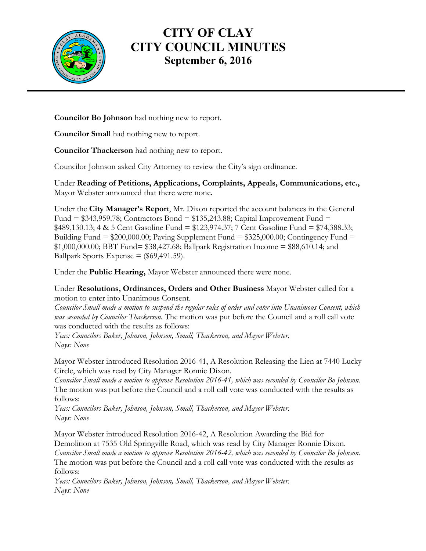

## **CITY OF CLAY CITY COUNCIL MINUTES September 6, 2016**

**Councilor Bo Johnson** had nothing new to report.

**Councilor Small** had nothing new to report.

**Councilor Thackerson** had nothing new to report.

Councilor Johnson asked City Attorney to review the City's sign ordinance.

Under **Reading of Petitions, Applications, Complaints, Appeals, Communications, etc.,** Mayor Webster announced that there were none.

Under the **City Manager's Report**, Mr. Dixon reported the account balances in the General Fund =  $$343,959.78$ ; Contractors Bond =  $$135,243.88$ ; Capital Improvement Fund = \$489,130.13; 4 & 5 Cent Gasoline Fund = \$123,974.37; 7 Cent Gasoline Fund = \$74,388.33; Building Fund =  $$200,000.00$ ; Paving Supplement Fund =  $$325,000.00$ ; Contingency Fund = \$1,000,000.00; BBT Fund= \$38,427.68; Ballpark Registration Income = \$88,610.14; and Ballpark Sports Expense  $=$  (\$69,491.59).

Under the **Public Hearing,** Mayor Webster announced there were none.

Under **Resolutions, Ordinances, Orders and Other Business** Mayor Webster called for a motion to enter into Unanimous Consent.

*Councilor Small made a motion to suspend the regular rules of order and enter into Unanimous Consent, which was seconded by Councilor Thackerson.* The motion was put before the Council and a roll call vote was conducted with the results as follows:

*Yeas: Councilors Baker, Johnson, Johnson, Small, Thackerson, and Mayor Webster. Nays: None*

Mayor Webster introduced Resolution 2016-41, A Resolution Releasing the Lien at 7440 Lucky Circle, which was read by City Manager Ronnie Dixon.

*Councilor Small made a motion to approve Resolution 2016-41, which was seconded by Councilor Bo Johnson.*  The motion was put before the Council and a roll call vote was conducted with the results as follows:

*Yeas: Councilors Baker, Johnson, Johnson, Small, Thackerson, and Mayor Webster. Nays: None*

Mayor Webster introduced Resolution 2016-42, A Resolution Awarding the Bid for Demolition at 7535 Old Springville Road, which was read by City Manager Ronnie Dixon. *Councilor Small made a motion to approve Resolution 2016-42, which was seconded by Councilor Bo Johnson.*  The motion was put before the Council and a roll call vote was conducted with the results as follows:

*Yeas: Councilors Baker, Johnson, Johnson, Small, Thackerson, and Mayor Webster. Nays: None*